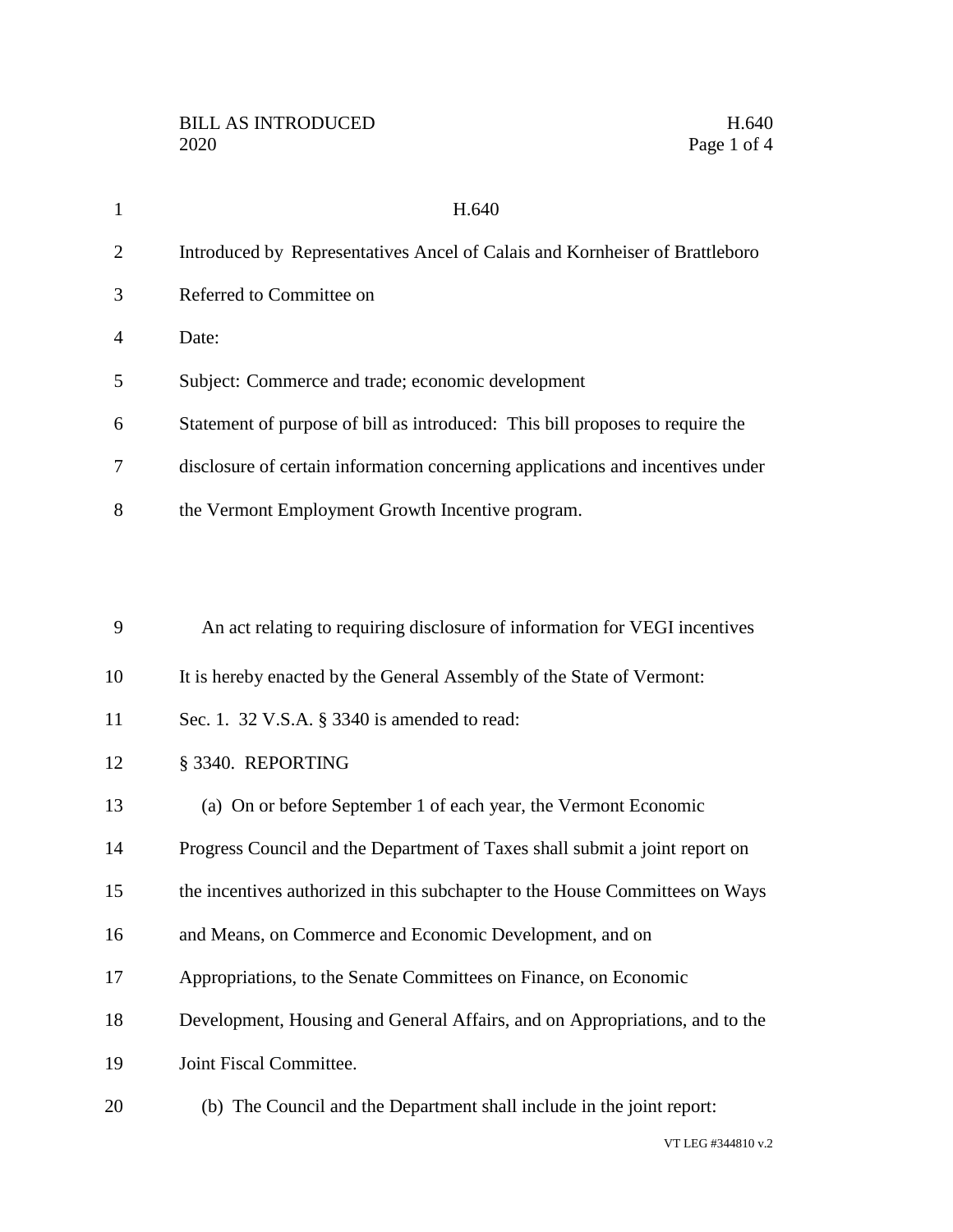| $\mathbf{1}$   | H.640                                                                          |
|----------------|--------------------------------------------------------------------------------|
| $\overline{2}$ | Introduced by Representatives Ancel of Calais and Kornheiser of Brattleboro    |
| 3              | Referred to Committee on                                                       |
| 4              | Date:                                                                          |
| 5              | Subject: Commerce and trade; economic development                              |
| 6              | Statement of purpose of bill as introduced: This bill proposes to require the  |
| 7              | disclosure of certain information concerning applications and incentives under |
| 8              | the Vermont Employment Growth Incentive program.                               |
|                |                                                                                |
|                |                                                                                |
| 9              | An act relating to requiring disclosure of information for VEGI incentives     |
| 10             | It is hereby enacted by the General Assembly of the State of Vermont:          |
| 11             | Sec. 1. 32 V.S.A. § 3340 is amended to read:                                   |
| 12             | § 3340. REPORTING                                                              |
| 13             | (a) On or before September 1 of each year, the Vermont Economic                |
| 14             | Progress Council and the Department of Taxes shall submit a joint report on    |
| 15             | the incentives authorized in this subchapter to the House Committees on Ways   |
| 16             | and Means, on Commerce and Economic Development, and on                        |
| 17             | Appropriations, to the Senate Committees on Finance, on Economic               |
| 18             | Development, Housing and General Affairs, and on Appropriations, and to the    |
| 19             | Joint Fiscal Committee.                                                        |
|                |                                                                                |

(b) The Council and the Department shall include in the joint report:

VT LEG #344810 v.2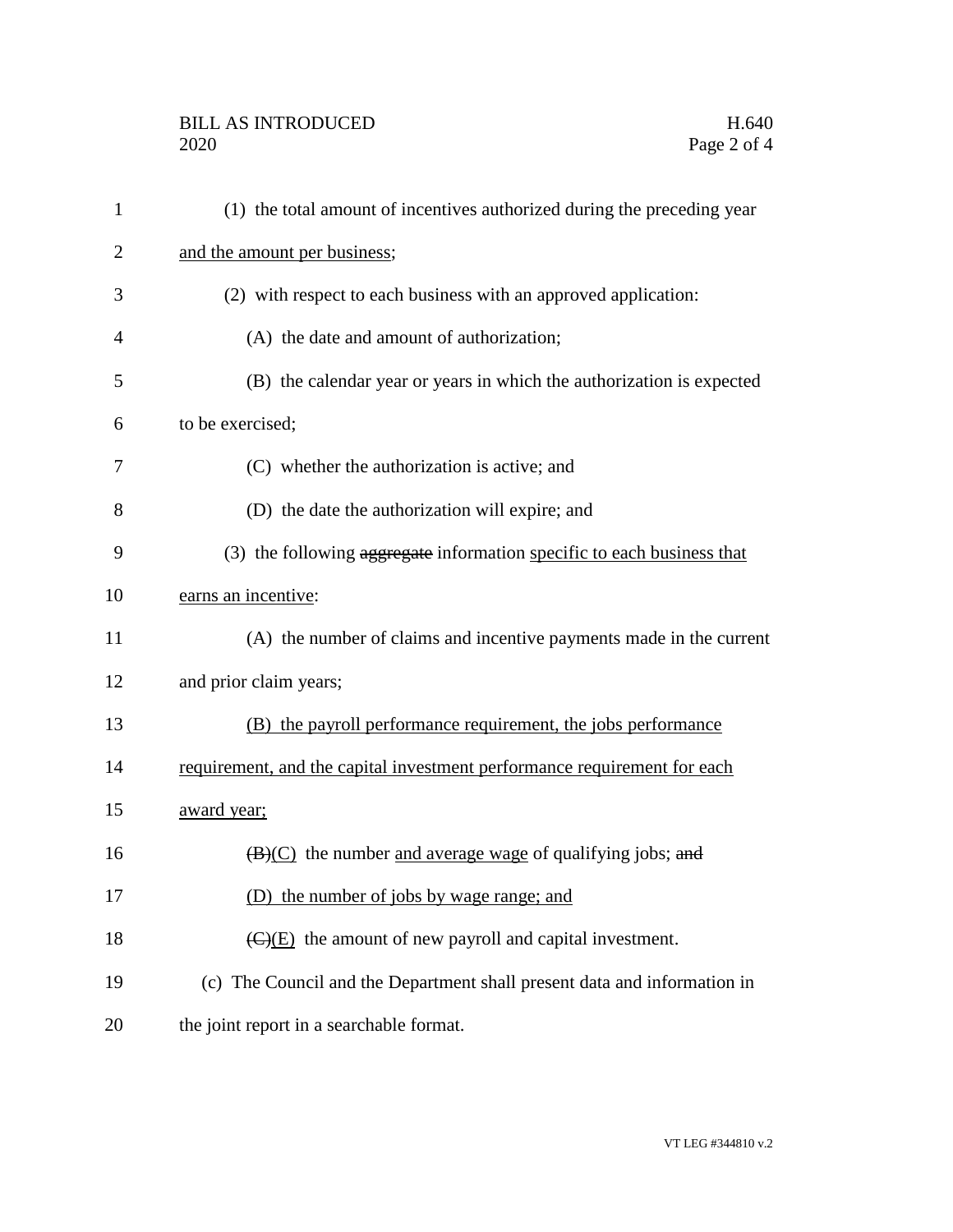## BILL AS INTRODUCED H.640<br>2020 Page 2 of 4

| 1              | (1) the total amount of incentives authorized during the preceding year        |
|----------------|--------------------------------------------------------------------------------|
| 2              | and the amount per business;                                                   |
| 3              | (2) with respect to each business with an approved application:                |
| $\overline{4}$ | (A) the date and amount of authorization;                                      |
| 5              | (B) the calendar year or years in which the authorization is expected          |
| 6              | to be exercised;                                                               |
| 7              | (C) whether the authorization is active; and                                   |
| 8              | (D) the date the authorization will expire; and                                |
| 9              | (3) the following aggregate information specific to each business that         |
| 10             | earns an incentive:                                                            |
| 11             | (A) the number of claims and incentive payments made in the current            |
| 12             | and prior claim years;                                                         |
| 13             | (B) the payroll performance requirement, the jobs performance                  |
| 14             | requirement, and the capital investment performance requirement for each       |
| 15             | award year;                                                                    |
| 16             | $(\mathbf{B})(\mathbf{C})$ the number and average wage of qualifying jobs; and |
| 17             | (D) the number of jobs by wage range; and                                      |
| 18             | $\overline{(C)}$ (E) the amount of new payroll and capital investment.         |
| 19             | (c) The Council and the Department shall present data and information in       |
| 20             | the joint report in a searchable format.                                       |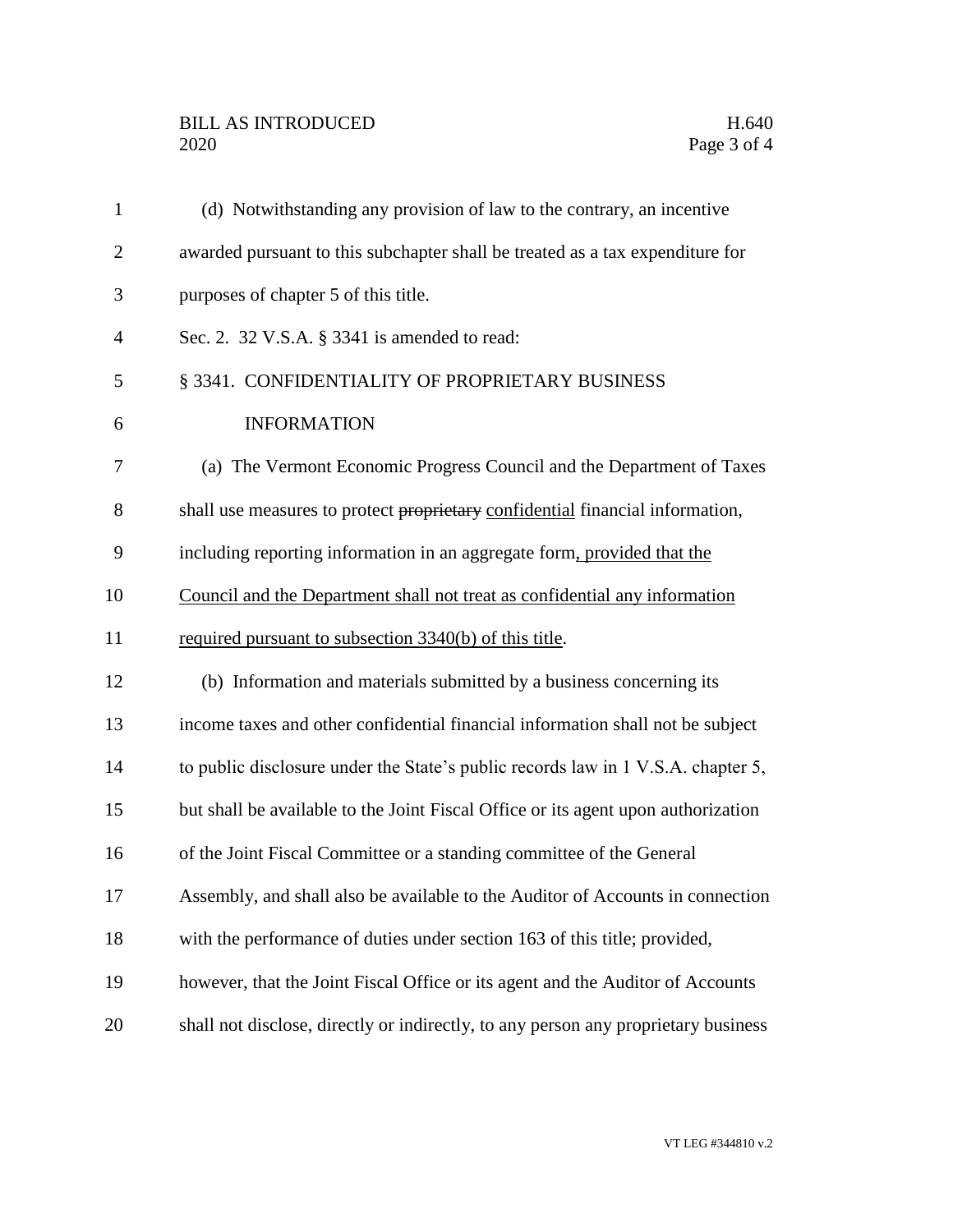| $\mathbf{1}$   | (d) Notwithstanding any provision of law to the contrary, an incentive             |
|----------------|------------------------------------------------------------------------------------|
| $\overline{2}$ | awarded pursuant to this subchapter shall be treated as a tax expenditure for      |
| 3              | purposes of chapter 5 of this title.                                               |
| $\overline{4}$ | Sec. 2. 32 V.S.A. § 3341 is amended to read:                                       |
| 5              | § 3341. CONFIDENTIALITY OF PROPRIETARY BUSINESS                                    |
| 6              | <b>INFORMATION</b>                                                                 |
| 7              | (a) The Vermont Economic Progress Council and the Department of Taxes              |
| 8              | shall use measures to protect proprietary confidential financial information,      |
| 9              | including reporting information in an aggregate form, provided that the            |
| 10             | Council and the Department shall not treat as confidential any information         |
| 11             | required pursuant to subsection 3340(b) of this title.                             |
| 12             | (b) Information and materials submitted by a business concerning its               |
| 13             | income taxes and other confidential financial information shall not be subject     |
| 14             | to public disclosure under the State's public records law in 1 V.S.A. chapter 5,   |
| 15             | but shall be available to the Joint Fiscal Office or its agent upon authorization  |
| 16             | of the Joint Fiscal Committee or a standing committee of the General               |
| 17             | Assembly, and shall also be available to the Auditor of Accounts in connection     |
| 18             | with the performance of duties under section 163 of this title; provided,          |
| 19             | however, that the Joint Fiscal Office or its agent and the Auditor of Accounts     |
| 20             | shall not disclose, directly or indirectly, to any person any proprietary business |